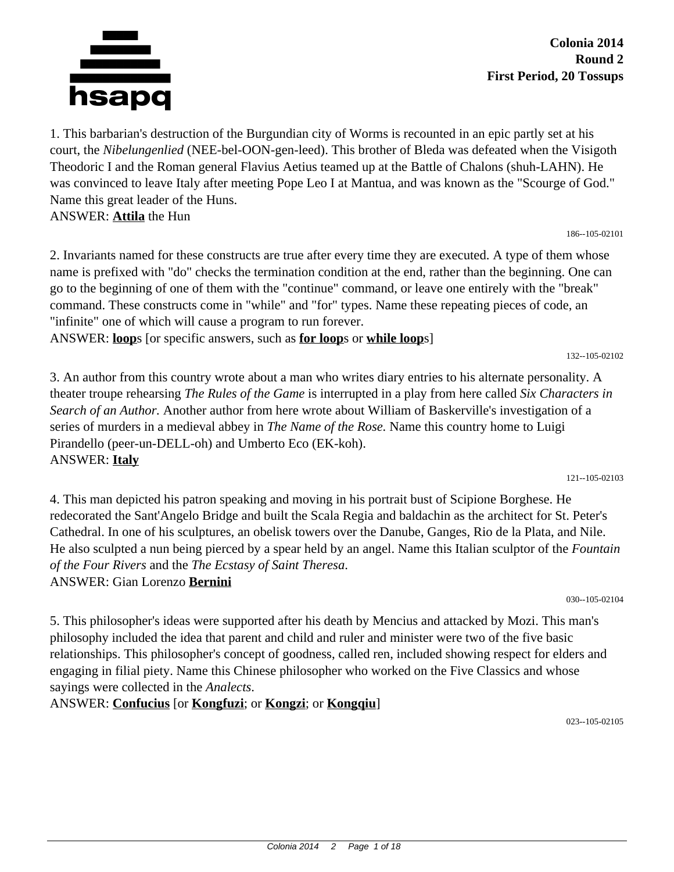

**Colonia 2014 Round 2 First Period, 20 Tossups**

1. This barbarian's destruction of the Burgundian city of Worms is recounted in an epic partly set at his court, the *Nibelungenlied* (NEE-bel-OON-gen-leed). This brother of Bleda was defeated when the Visigoth Theodoric I and the Roman general Flavius Aetius teamed up at the Battle of Chalons (shuh-LAHN). He was convinced to leave Italy after meeting Pope Leo I at Mantua, and was known as the "Scourge of God." Name this great leader of the Huns. ANSWER: **Attila** the Hun

186--105-02101

132--105-02102

121--105-02103

2. Invariants named for these constructs are true after every time they are executed. A type of them whose name is prefixed with "do" checks the termination condition at the end, rather than the beginning. One can go to the beginning of one of them with the "continue" command, or leave one entirely with the "break" command. These constructs come in "while" and "for" types. Name these repeating pieces of code, an "infinite" one of which will cause a program to run forever.

ANSWER: **loop**s [or specific answers, such as **for loop**s or **while loop**s]

3. An author from this country wrote about a man who writes diary entries to his alternate personality. A theater troupe rehearsing *The Rules of the Game* is interrupted in a play from here called *Six Characters in Search of an Author.* Another author from here wrote about William of Baskerville's investigation of a series of murders in a medieval abbey in *The Name of the Rose.* Name this country home to Luigi Pirandello (peer-un-DELL-oh) and Umberto Eco (EK-koh). ANSWER: **Italy**

4. This man depicted his patron speaking and moving in his portrait bust of Scipione Borghese. He redecorated the Sant'Angelo Bridge and built the Scala Regia and baldachin as the architect for St. Peter's Cathedral. In one of his sculptures, an obelisk towers over the Danube, Ganges, Rio de la Plata, and Nile. He also sculpted a nun being pierced by a spear held by an angel. Name this Italian sculptor of the *Fountain of the Four Rivers* and the *The Ecstasy of Saint Theresa*. ANSWER: Gian Lorenzo **Bernini**

030--105-02104

5. This philosopher's ideas were supported after his death by Mencius and attacked by Mozi. This man's philosophy included the idea that parent and child and ruler and minister were two of the five basic relationships. This philosopher's concept of goodness, called ren, included showing respect for elders and engaging in filial piety. Name this Chinese philosopher who worked on the Five Classics and whose sayings were collected in the *Analects*.

ANSWER: **Confucius** [or **Kongfuzi**; or **Kongzi**; or **Kongqiu**]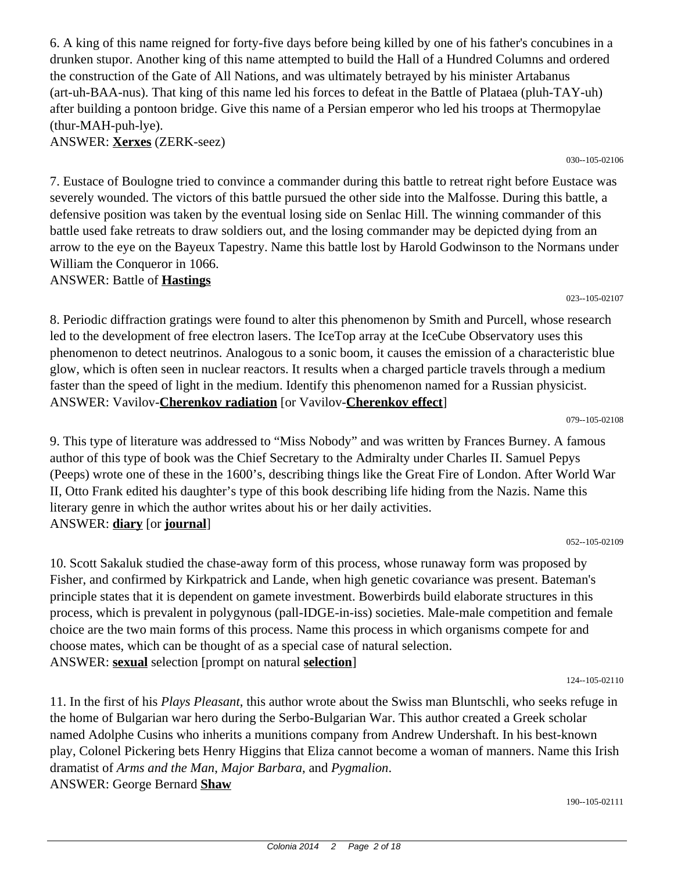6. A king of this name reigned for forty-five days before being killed by one of his father's concubines in a drunken stupor. Another king of this name attempted to build the Hall of a Hundred Columns and ordered the construction of the Gate of All Nations, and was ultimately betrayed by his minister Artabanus (art-uh-BAA-nus). That king of this name led his forces to defeat in the Battle of Plataea (pluh-TAY-uh) after building a pontoon bridge. Give this name of a Persian emperor who led his troops at Thermopylae (thur-MAH-puh-lye).

ANSWER: **Xerxes** (ZERK-seez)

7. Eustace of Boulogne tried to convince a commander during this battle to retreat right before Eustace was severely wounded. The victors of this battle pursued the other side into the Malfosse. During this battle, a defensive position was taken by the eventual losing side on Senlac Hill. The winning commander of this battle used fake retreats to draw soldiers out, and the losing commander may be depicted dying from an arrow to the eye on the Bayeux Tapestry. Name this battle lost by Harold Godwinson to the Normans under William the Conqueror in 1066.

ANSWER: Battle of **Hastings**

8. Periodic diffraction gratings were found to alter this phenomenon by Smith and Purcell, whose research led to the development of free electron lasers. The IceTop array at the IceCube Observatory uses this phenomenon to detect neutrinos. Analogous to a sonic boom, it causes the emission of a characteristic blue glow, which is often seen in nuclear reactors. It results when a charged particle travels through a medium faster than the speed of light in the medium. Identify this phenomenon named for a Russian physicist. ANSWER: Vavilov-**Cherenkov radiation** [or Vavilov-**Cherenkov effect**]

079--105-02108

023--105-02107

9. This type of literature was addressed to "Miss Nobody" and was written by Frances Burney. A famous author of this type of book was the Chief Secretary to the Admiralty under Charles II. Samuel Pepys (Peeps) wrote one of these in the 1600's, describing things like the Great Fire of London. After World War II, Otto Frank edited his daughter's type of this book describing life hiding from the Nazis. Name this literary genre in which the author writes about his or her daily activities. ANSWER: **diary** [or **journal**]

052--105-02109

10. Scott Sakaluk studied the chase-away form of this process, whose runaway form was proposed by Fisher, and confirmed by Kirkpatrick and Lande, when high genetic covariance was present. Bateman's principle states that it is dependent on gamete investment. Bowerbirds build elaborate structures in this process, which is prevalent in polygynous (pall-IDGE-in-iss) societies. Male-male competition and female choice are the two main forms of this process. Name this process in which organisms compete for and choose mates, which can be thought of as a special case of natural selection. ANSWER: **sexual** selection [prompt on natural **selection**]

124--105-02110

11. In the first of his *Plays Pleasant*, this author wrote about the Swiss man Bluntschli, who seeks refuge in the home of Bulgarian war hero during the Serbo-Bulgarian War. This author created a Greek scholar named Adolphe Cusins who inherits a munitions company from Andrew Undershaft. In his best-known play, Colonel Pickering bets Henry Higgins that Eliza cannot become a woman of manners. Name this Irish dramatist of *Arms and the Man*, *Major Barbara*, and *Pygmalion*. ANSWER: George Bernard **Shaw**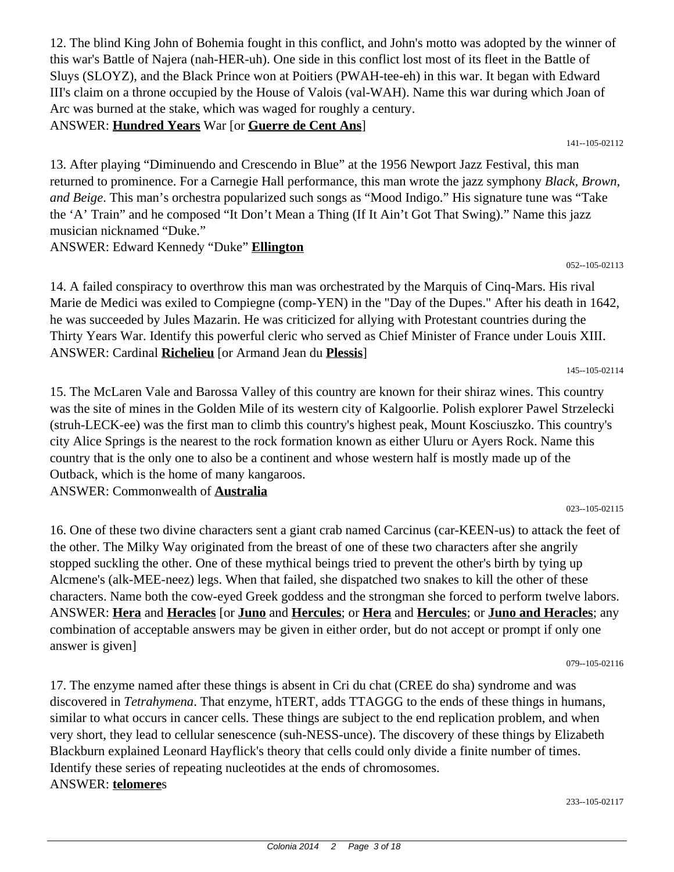12. The blind King John of Bohemia fought in this conflict, and John's motto was adopted by the winner of this war's Battle of Najera (nah-HER-uh). One side in this conflict lost most of its fleet in the Battle of Sluys (SLOYZ), and the Black Prince won at Poitiers (PWAH-tee-eh) in this war. It began with Edward III's claim on a throne occupied by the House of Valois (val-WAH). Name this war during which Joan of Arc was burned at the stake, which was waged for roughly a century.

# ANSWER: **Hundred Years** War [or **Guerre de Cent Ans**]

13. After playing "Diminuendo and Crescendo in Blue" at the 1956 Newport Jazz Festival, this man returned to prominence. For a Carnegie Hall performance, this man wrote the jazz symphony *Black, Brown, and Beige*. This man's orchestra popularized such songs as "Mood Indigo." His signature tune was "Take the 'A' Train" and he composed "It Don't Mean a Thing (If It Ain't Got That Swing)." Name this jazz musician nicknamed "Duke."

ANSWER: Edward Kennedy "Duke" **Ellington**

14. A failed conspiracy to overthrow this man was orchestrated by the Marquis of Cinq-Mars. His rival Marie de Medici was exiled to Compiegne (comp-YEN) in the "Day of the Dupes." After his death in 1642, he was succeeded by Jules Mazarin. He was criticized for allying with Protestant countries during the Thirty Years War. Identify this powerful cleric who served as Chief Minister of France under Louis XIII. ANSWER: Cardinal **Richelieu** [or Armand Jean du **Plessis**]

145--105-02114

15. The McLaren Vale and Barossa Valley of this country are known for their shiraz wines. This country was the site of mines in the Golden Mile of its western city of Kalgoorlie. Polish explorer Pawel Strzelecki (struh-LECK-ee) was the first man to climb this country's highest peak, Mount Kosciuszko. This country's city Alice Springs is the nearest to the rock formation known as either Uluru or Ayers Rock. Name this country that is the only one to also be a continent and whose western half is mostly made up of the Outback, which is the home of many kangaroos.

ANSWER: Commonwealth of **Australia**

16. One of these two divine characters sent a giant crab named Carcinus (car-KEEN-us) to attack the feet of the other. The Milky Way originated from the breast of one of these two characters after she angrily stopped suckling the other. One of these mythical beings tried to prevent the other's birth by tying up Alcmene's (alk-MEE-neez) legs. When that failed, she dispatched two snakes to kill the other of these characters. Name both the cow-eyed Greek goddess and the strongman she forced to perform twelve labors. ANSWER: **Hera** and **Heracles** [or **Juno** and **Hercules**; or **Hera** and **Hercules**; or **Juno and Heracles**; any combination of acceptable answers may be given in either order, but do not accept or prompt if only one answer is given]

079--105-02116

023--105-02115

17. The enzyme named after these things is absent in Cri du chat (CREE do sha) syndrome and was discovered in *Tetrahymena*. That enzyme, hTERT, adds TTAGGG to the ends of these things in humans, similar to what occurs in cancer cells. These things are subject to the end replication problem, and when very short, they lead to cellular senescence (suh-NESS-unce). The discovery of these things by Elizabeth Blackburn explained Leonard Hayflick's theory that cells could only divide a finite number of times. Identify these series of repeating nucleotides at the ends of chromosomes. ANSWER: **telomere**s

233--105-02117

052--105-02113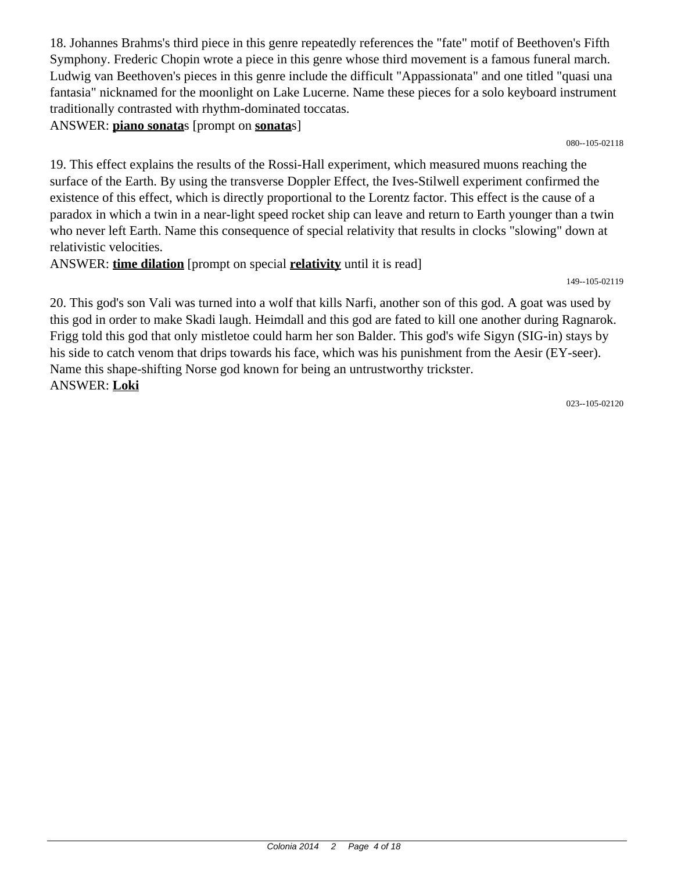18. Johannes Brahms's third piece in this genre repeatedly references the "fate" motif of Beethoven's Fifth Symphony. Frederic Chopin wrote a piece in this genre whose third movement is a famous funeral march. Ludwig van Beethoven's pieces in this genre include the difficult "Appassionata" and one titled "quasi una fantasia" nicknamed for the moonlight on Lake Lucerne. Name these pieces for a solo keyboard instrument traditionally contrasted with rhythm-dominated toccatas.

ANSWER: **piano sonata**s [prompt on **sonata**s]

080--105-02118

19. This effect explains the results of the Rossi-Hall experiment, which measured muons reaching the surface of the Earth. By using the transverse Doppler Effect, the Ives-Stilwell experiment confirmed the existence of this effect, which is directly proportional to the Lorentz factor. This effect is the cause of a paradox in which a twin in a near-light speed rocket ship can leave and return to Earth younger than a twin who never left Earth. Name this consequence of special relativity that results in clocks "slowing" down at relativistic velocities.

ANSWER: **time dilation** [prompt on special **relativity** until it is read]

149--105-02119

20. This god's son Vali was turned into a wolf that kills Narfi, another son of this god. A goat was used by this god in order to make Skadi laugh. Heimdall and this god are fated to kill one another during Ragnarok. Frigg told this god that only mistletoe could harm her son Balder. This god's wife Sigyn (SIG-in) stays by his side to catch venom that drips towards his face, which was his punishment from the Aesir (EY-seer). Name this shape-shifting Norse god known for being an untrustworthy trickster. ANSWER: **Loki**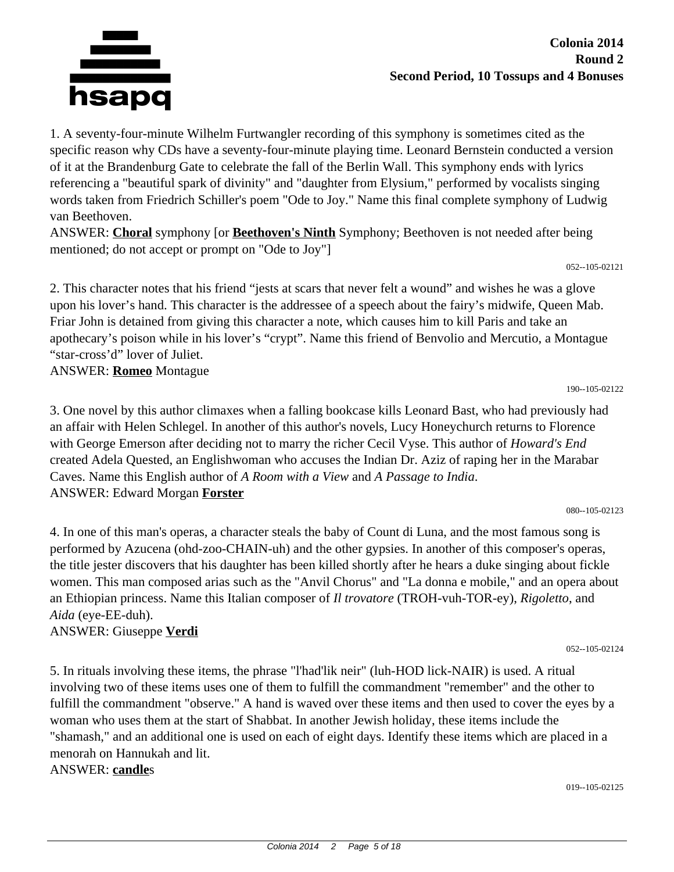

1. A seventy-four-minute Wilhelm Furtwangler recording of this symphony is sometimes cited as the specific reason why CDs have a seventy-four-minute playing time. Leonard Bernstein conducted a version of it at the Brandenburg Gate to celebrate the fall of the Berlin Wall. This symphony ends with lyrics referencing a "beautiful spark of divinity" and "daughter from Elysium," performed by vocalists singing words taken from Friedrich Schiller's poem "Ode to Joy." Name this final complete symphony of Ludwig van Beethoven.

ANSWER: **Choral** symphony [or **Beethoven's Ninth** Symphony; Beethoven is not needed after being mentioned; do not accept or prompt on "Ode to Joy"]

052--105-02121

2. This character notes that his friend "jests at scars that never felt a wound" and wishes he was a glove upon his lover's hand. This character is the addressee of a speech about the fairy's midwife, Queen Mab. Friar John is detained from giving this character a note, which causes him to kill Paris and take an apothecary's poison while in his lover's "crypt". Name this friend of Benvolio and Mercutio, a Montague "star-cross'd" lover of Juliet.

ANSWER: **Romeo** Montague

3. One novel by this author climaxes when a falling bookcase kills Leonard Bast, who had previously had an affair with Helen Schlegel. In another of this author's novels, Lucy Honeychurch returns to Florence with George Emerson after deciding not to marry the richer Cecil Vyse. This author of *Howard's End* created Adela Quested, an Englishwoman who accuses the Indian Dr. Aziz of raping her in the Marabar Caves. Name this English author of *A Room with a View* and *A Passage to India*. ANSWER: Edward Morgan **Forster**

080--105-02123

190--105-02122

4. In one of this man's operas, a character steals the baby of Count di Luna, and the most famous song is performed by Azucena (ohd-zoo-CHAIN-uh) and the other gypsies. In another of this composer's operas, the title jester discovers that his daughter has been killed shortly after he hears a duke singing about fickle women. This man composed arias such as the "Anvil Chorus" and "La donna e mobile," and an opera about an Ethiopian princess. Name this Italian composer of *Il trovatore* (TROH-vuh-TOR-ey), *Rigoletto*, and *Aida* (eye-EE-duh).

ANSWER: Giuseppe **Verdi**

052--105-02124

5. In rituals involving these items, the phrase "l'had'lik neir" (luh-HOD lick-NAIR) is used. A ritual involving two of these items uses one of them to fulfill the commandment "remember" and the other to fulfill the commandment "observe." A hand is waved over these items and then used to cover the eyes by a woman who uses them at the start of Shabbat. In another Jewish holiday, these items include the "shamash," and an additional one is used on each of eight days. Identify these items which are placed in a menorah on Hannukah and lit. ANSWER: **candle**s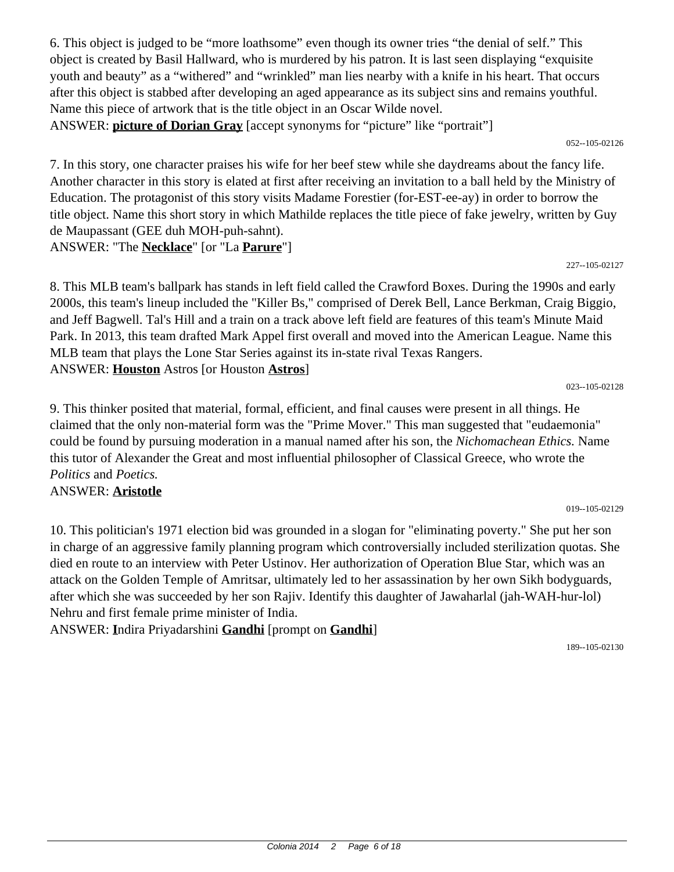6. This object is judged to be "more loathsome" even though its owner tries "the denial of self." This object is created by Basil Hallward, who is murdered by his patron. It is last seen displaying "exquisite youth and beauty" as a "withered" and "wrinkled" man lies nearby with a knife in his heart. That occurs after this object is stabbed after developing an aged appearance as its subject sins and remains youthful. Name this piece of artwork that is the title object in an Oscar Wilde novel. ANSWER: **picture of Dorian Gray** [accept synonyms for "picture" like "portrait"]

052--105-02126

7. In this story, one character praises his wife for her beef stew while she daydreams about the fancy life. Another character in this story is elated at first after receiving an invitation to a ball held by the Ministry of Education. The protagonist of this story visits Madame Forestier (for-EST-ee-ay) in order to borrow the title object. Name this short story in which Mathilde replaces the title piece of fake jewelry, written by Guy de Maupassant (GEE duh MOH-puh-sahnt). ANSWER: "The **Necklace**" [or "La **Parure**"]

227--105-02127

023--105-02128

8. This MLB team's ballpark has stands in left field called the Crawford Boxes. During the 1990s and early 2000s, this team's lineup included the "Killer Bs," comprised of Derek Bell, Lance Berkman, Craig Biggio, and Jeff Bagwell. Tal's Hill and a train on a track above left field are features of this team's Minute Maid Park. In 2013, this team drafted Mark Appel first overall and moved into the American League. Name this MLB team that plays the Lone Star Series against its in-state rival Texas Rangers. ANSWER: **Houston** Astros [or Houston **Astros**]

9. This thinker posited that material, formal, efficient, and final causes were present in all things. He claimed that the only non-material form was the "Prime Mover." This man suggested that "eudaemonia" could be found by pursuing moderation in a manual named after his son, the *Nichomachean Ethics.* Name this tutor of Alexander the Great and most influential philosopher of Classical Greece, who wrote the *Politics* and *Poetics.* ANSWER: **Aristotle**

019--105-02129

10. This politician's 1971 election bid was grounded in a slogan for "eliminating poverty." She put her son in charge of an aggressive family planning program which controversially included sterilization quotas. She died en route to an interview with Peter Ustinov. Her authorization of Operation Blue Star, which was an attack on the Golden Temple of Amritsar, ultimately led to her assassination by her own Sikh bodyguards, after which she was succeeded by her son Rajiv. Identify this daughter of Jawaharlal (jah-WAH-hur-lol) Nehru and first female prime minister of India.

ANSWER: **I**ndira Priyadarshini **Gandhi** [prompt on **Gandhi**]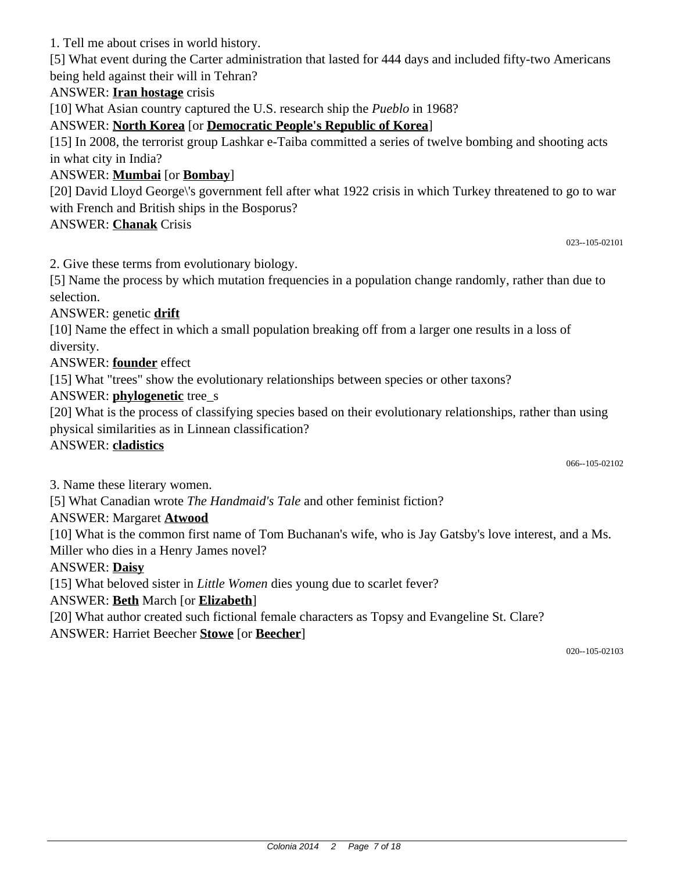1. Tell me about crises in world history.

[5] What event during the Carter administration that lasted for 444 days and included fifty-two Americans being held against their will in Tehran?

## ANSWER: **Iran hostage** crisis

[10] What Asian country captured the U.S. research ship the *Pueblo* in 1968?

ANSWER: **North Korea** [or **Democratic People's Republic of Korea**]

[15] In 2008, the terrorist group Lashkar e-Taiba committed a series of twelve bombing and shooting acts in what city in India?

## ANSWER: **Mumbai** [or **Bombay**]

[20] David Lloyd George\'s government fell after what 1922 crisis in which Turkey threatened to go to war with French and British ships in the Bosporus?

### ANSWER: **Chanak** Crisis

023--105-02101

2. Give these terms from evolutionary biology.

[5] Name the process by which mutation frequencies in a population change randomly, rather than due to selection.

ANSWER: genetic **drift**

[10] Name the effect in which a small population breaking off from a larger one results in a loss of diversity.

### ANSWER: **founder** effect

[15] What "trees" show the evolutionary relationships between species or other taxons?

### ANSWER: **phylogenetic** tree\_s

[20] What is the process of classifying species based on their evolutionary relationships, rather than using physical similarities as in Linnean classification?

#### ANSWER: **cladistics**

066--105-02102

3. Name these literary women.

[5] What Canadian wrote *The Handmaid's Tale* and other feminist fiction?

#### ANSWER: Margaret **Atwood**

[10] What is the common first name of Tom Buchanan's wife, who is Jay Gatsby's love interest, and a Ms. Miller who dies in a Henry James novel?

#### ANSWER: **Daisy**

[15] What beloved sister in *Little Women* dies young due to scarlet fever?

ANSWER: **Beth** March [or **Elizabeth**]

[20] What author created such fictional female characters as Topsy and Evangeline St. Clare?

ANSWER: Harriet Beecher **Stowe** [or **Beecher**]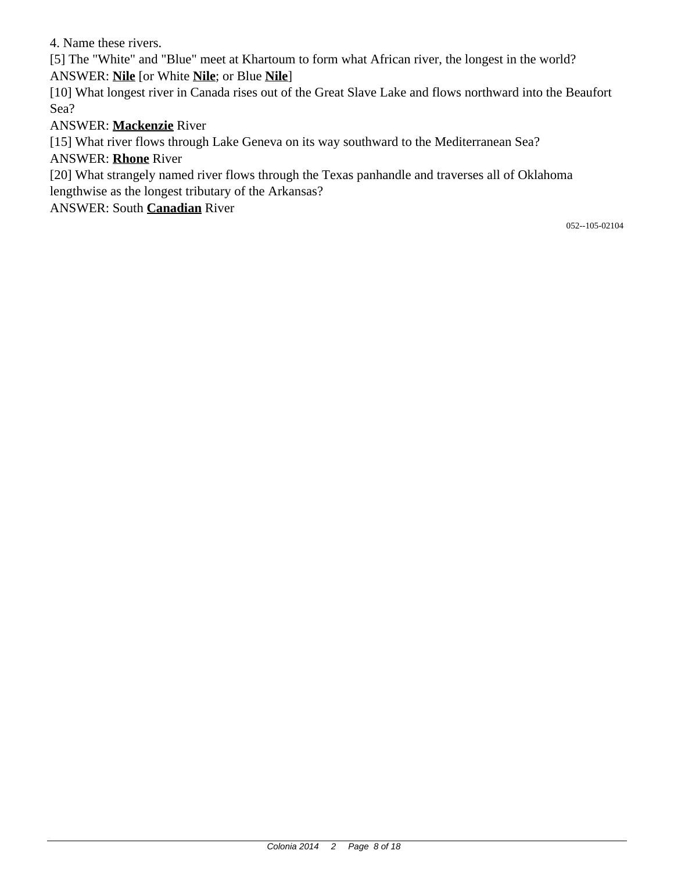4. Name these rivers.

[5] The "White" and "Blue" meet at Khartoum to form what African river, the longest in the world? ANSWER: **Nile** [or White **Nile**; or Blue **Nile**]

[10] What longest river in Canada rises out of the Great Slave Lake and flows northward into the Beaufort Sea?

ANSWER: **Mackenzie** River

[15] What river flows through Lake Geneva on its way southward to the Mediterranean Sea? ANSWER: **Rhone** River

[20] What strangely named river flows through the Texas panhandle and traverses all of Oklahoma lengthwise as the longest tributary of the Arkansas?

ANSWER: South **Canadian** River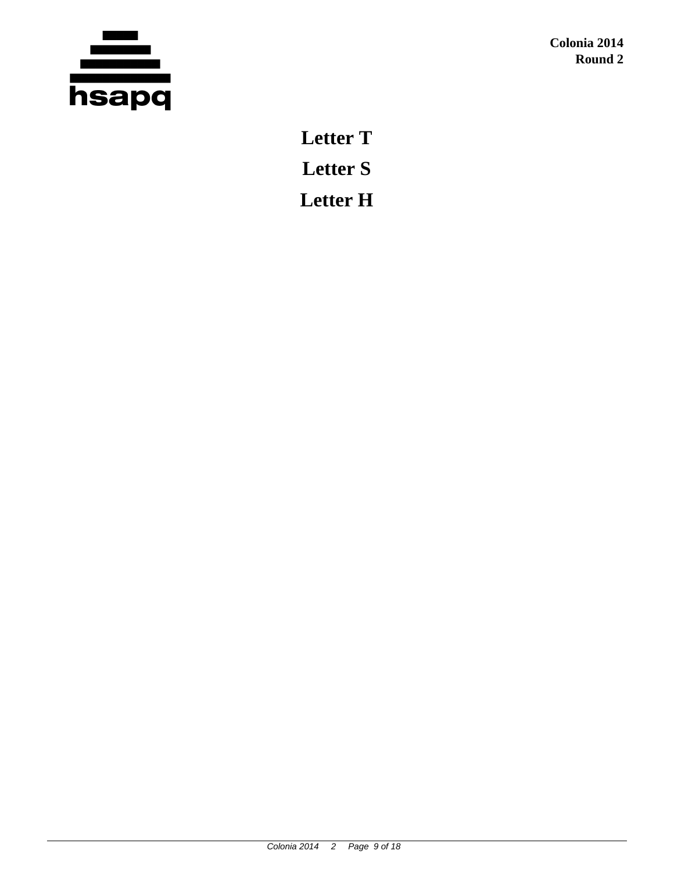

**Letter T Letter S Letter H**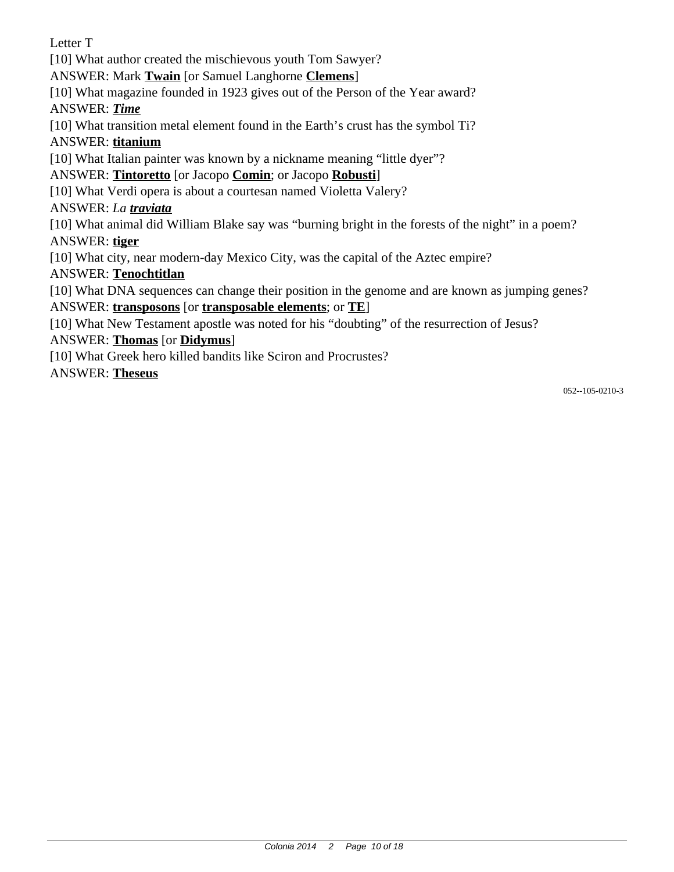Letter T [10] What author created the mischievous youth Tom Sawyer? ANSWER: Mark **Twain** [or Samuel Langhorne **Clemens**]

[10] What magazine founded in 1923 gives out of the Person of the Year award?

ANSWER: *Time*

[10] What transition metal element found in the Earth's crust has the symbol Ti?

ANSWER: **titanium**

[10] What Italian painter was known by a nickname meaning "little dyer"?

# ANSWER: **Tintoretto** [or Jacopo **Comin**; or Jacopo **Robusti**]

[10] What Verdi opera is about a courtesan named Violetta Valery?

ANSWER: *La traviata*

[10] What animal did William Blake say was "burning bright in the forests of the night" in a poem?

ANSWER: **tiger**

[10] What city, near modern-day Mexico City, was the capital of the Aztec empire?

ANSWER: **Tenochtitlan**

[10] What DNA sequences can change their position in the genome and are known as jumping genes? ANSWER: **transposons** [or **transposable elements**; or **TE**]

[10] What New Testament apostle was noted for his "doubting" of the resurrection of Jesus?

# ANSWER: **Thomas** [or **Didymus**]

[10] What Greek hero killed bandits like Sciron and Procrustes?

ANSWER: **Theseus**

052--105-0210-3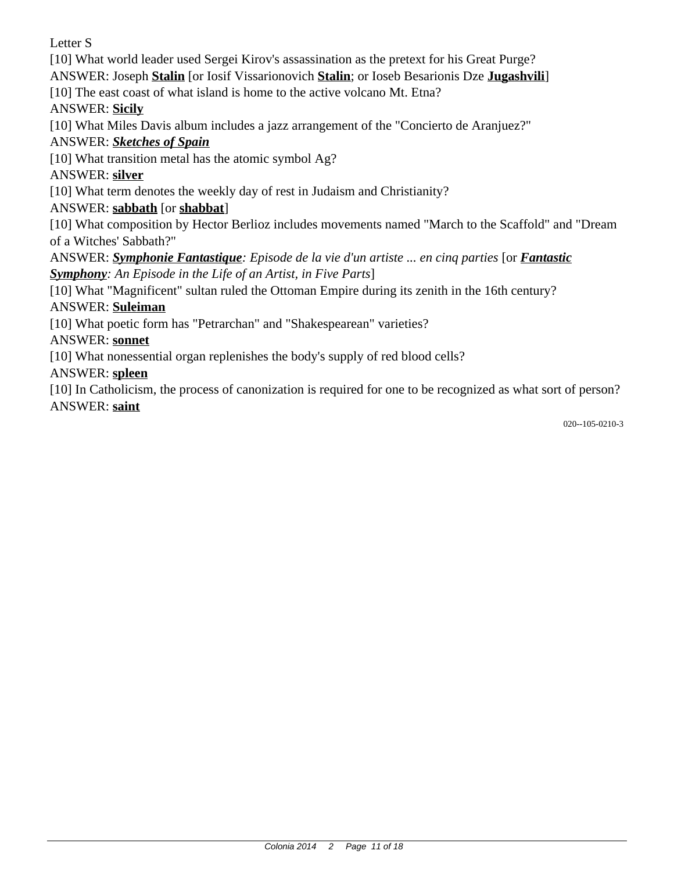Letter S

[10] What world leader used Sergei Kirov's assassination as the pretext for his Great Purge? ANSWER: Joseph **Stalin** [or Iosif Vissarionovich **Stalin**; or Ioseb Besarionis Dze **Jugashvili**]

[10] The east coast of what island is home to the active volcano Mt. Etna?

ANSWER: **Sicily**

[10] What Miles Davis album includes a jazz arrangement of the "Concierto de Aranjuez?"

ANSWER: *Sketches of Spain*

[10] What transition metal has the atomic symbol Ag?

ANSWER: **silver**

[10] What term denotes the weekly day of rest in Judaism and Christianity?

ANSWER: **sabbath** [or **shabbat**]

[10] What composition by Hector Berlioz includes movements named "March to the Scaffold" and "Dream of a Witches' Sabbath?"

ANSWER: *Symphonie Fantastique: Episode de la vie d'un artiste ... en cinq parties* [or *Fantastic Symphony: An Episode in the Life of an Artist, in Five Parts*]

[10] What "Magnificent" sultan ruled the Ottoman Empire during its zenith in the 16th century?

# ANSWER: **Suleiman**

[10] What poetic form has "Petrarchan" and "Shakespearean" varieties?

ANSWER: **sonnet**

[10] What nonessential organ replenishes the body's supply of red blood cells?

ANSWER: **spleen**

[10] In Catholicism, the process of canonization is required for one to be recognized as what sort of person? ANSWER: **saint**

020--105-0210-3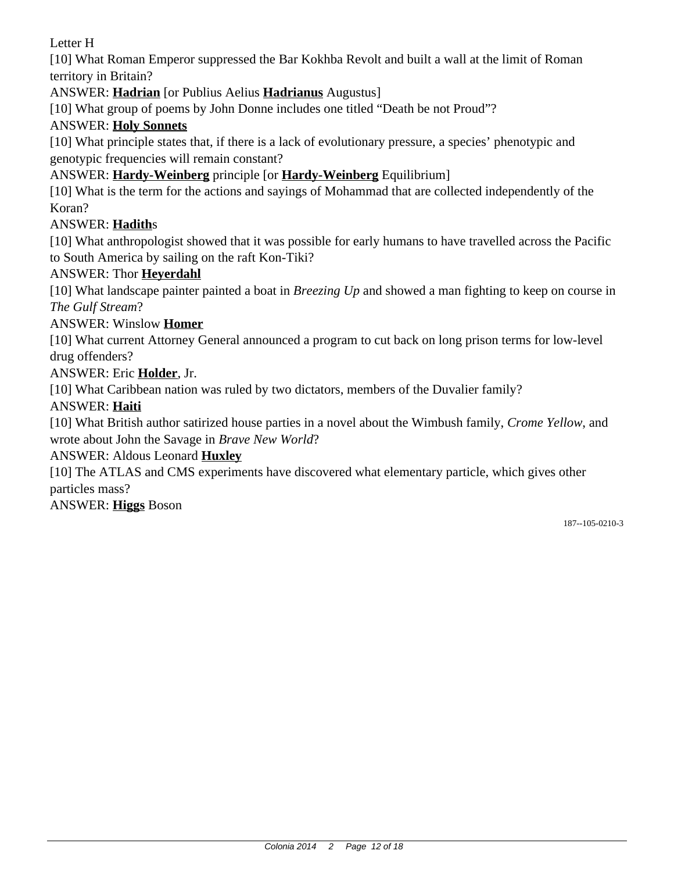Letter H

[10] What Roman Emperor suppressed the Bar Kokhba Revolt and built a wall at the limit of Roman territory in Britain?

ANSWER: **Hadrian** [or Publius Aelius **Hadrianus** Augustus]

[10] What group of poems by John Donne includes one titled "Death be not Proud"?

# ANSWER: **Holy Sonnets**

[10] What principle states that, if there is a lack of evolutionary pressure, a species' phenotypic and genotypic frequencies will remain constant?

ANSWER: **Hardy-Weinberg** principle [or **Hardy-Weinberg** Equilibrium]

[10] What is the term for the actions and sayings of Mohammad that are collected independently of the Koran?

## ANSWER: **Hadith**s

[10] What anthropologist showed that it was possible for early humans to have travelled across the Pacific to South America by sailing on the raft Kon-Tiki?

### ANSWER: Thor **Heyerdahl**

[10] What landscape painter painted a boat in *Breezing Up* and showed a man fighting to keep on course in *The Gulf Stream*?

## ANSWER: Winslow **Homer**

[10] What current Attorney General announced a program to cut back on long prison terms for low-level drug offenders?

### ANSWER: Eric **Holder**, Jr.

[10] What Caribbean nation was ruled by two dictators, members of the Duvalier family?

### ANSWER: **Haiti**

[10] What British author satirized house parties in a novel about the Wimbush family, *Crome Yellow*, and wrote about John the Savage in *Brave New World*?

### ANSWER: Aldous Leonard **Huxley**

[10] The ATLAS and CMS experiments have discovered what elementary particle, which gives other particles mass?

ANSWER: **Higgs** Boson

187--105-0210-3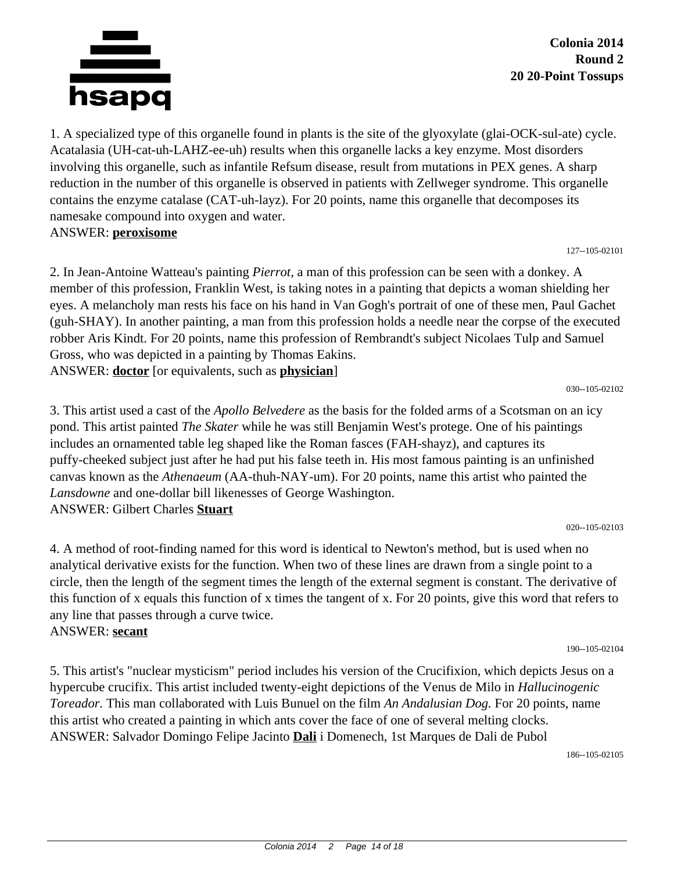

1. A specialized type of this organelle found in plants is the site of the glyoxylate (glai-OCK-sul-ate) cycle. Acatalasia (UH-cat-uh-LAHZ-ee-uh) results when this organelle lacks a key enzyme. Most disorders involving this organelle, such as infantile Refsum disease, result from mutations in PEX genes. A sharp reduction in the number of this organelle is observed in patients with Zellweger syndrome. This organelle contains the enzyme catalase (CAT-uh-layz). For 20 points, name this organelle that decomposes its namesake compound into oxygen and water. ANSWER: **peroxisome**

127--105-02101

2. In Jean-Antoine Watteau's painting *Pierrot,* a man of this profession can be seen with a donkey. A member of this profession, Franklin West, is taking notes in a painting that depicts a woman shielding her eyes. A melancholy man rests his face on his hand in Van Gogh's portrait of one of these men, Paul Gachet (guh-SHAY). In another painting, a man from this profession holds a needle near the corpse of the executed robber Aris Kindt. For 20 points, name this profession of Rembrandt's subject Nicolaes Tulp and Samuel Gross, who was depicted in a painting by Thomas Eakins. ANSWER: **doctor** [or equivalents, such as **physician**]

030--105-02102

3. This artist used a cast of the *Apollo Belvedere* as the basis for the folded arms of a Scotsman on an icy pond. This artist painted *The Skater* while he was still Benjamin West's protege. One of his paintings includes an ornamented table leg shaped like the Roman fasces (FAH-shayz), and captures its puffy-cheeked subject just after he had put his false teeth in. His most famous painting is an unfinished canvas known as the *Athenaeum* (AA-thuh-NAY-um). For 20 points, name this artist who painted the *Lansdowne* and one-dollar bill likenesses of George Washington. ANSWER: Gilbert Charles **Stuart**

020--105-02103

4. A method of root-finding named for this word is identical to Newton's method, but is used when no analytical derivative exists for the function. When two of these lines are drawn from a single point to a circle, then the length of the segment times the length of the external segment is constant. The derivative of this function of x equals this function of x times the tangent of x. For 20 points, give this word that refers to any line that passes through a curve twice. ANSWER: **secant**

190--105-02104

5. This artist's "nuclear mysticism" period includes his version of the Crucifixion, which depicts Jesus on a hypercube crucifix. This artist included twenty-eight depictions of the Venus de Milo in *Hallucinogenic Toreador.* This man collaborated with Luis Bunuel on the film *An Andalusian Dog.* For 20 points, name this artist who created a painting in which ants cover the face of one of several melting clocks. ANSWER: Salvador Domingo Felipe Jacinto **Dali** i Domenech, 1st Marques de Dali de Pubol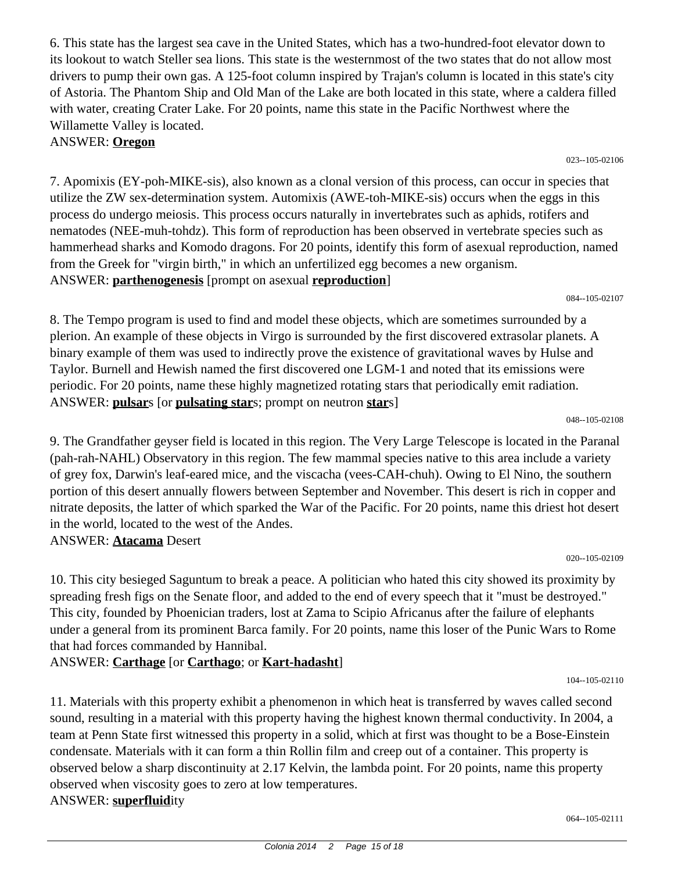6. This state has the largest sea cave in the United States, which has a two-hundred-foot elevator down to its lookout to watch Steller sea lions. This state is the westernmost of the two states that do not allow most drivers to pump their own gas. A 125-foot column inspired by Trajan's column is located in this state's city of Astoria. The Phantom Ship and Old Man of the Lake are both located in this state, where a caldera filled with water, creating Crater Lake. For 20 points, name this state in the Pacific Northwest where the Willamette Valley is located.

ANSWER: **Oregon**

7. Apomixis (EY-poh-MIKE-sis), also known as a clonal version of this process, can occur in species that utilize the ZW sex-determination system. Automixis (AWE-toh-MIKE-sis) occurs when the eggs in this process do undergo meiosis. This process occurs naturally in invertebrates such as aphids, rotifers and nematodes (NEE-muh-tohdz). This form of reproduction has been observed in vertebrate species such as hammerhead sharks and Komodo dragons. For 20 points, identify this form of asexual reproduction, named from the Greek for "virgin birth," in which an unfertilized egg becomes a new organism. ANSWER: **parthenogenesis** [prompt on asexual **reproduction**]

8. The Tempo program is used to find and model these objects, which are sometimes surrounded by a plerion. An example of these objects in Virgo is surrounded by the first discovered extrasolar planets. A binary example of them was used to indirectly prove the existence of gravitational waves by Hulse and Taylor. Burnell and Hewish named the first discovered one LGM-1 and noted that its emissions were periodic. For 20 points, name these highly magnetized rotating stars that periodically emit radiation. ANSWER: **pulsar**s [or **pulsating star**s; prompt on neutron **star**s]

9. The Grandfather geyser field is located in this region. The Very Large Telescope is located in the Paranal (pah-rah-NAHL) Observatory in this region. The few mammal species native to this area include a variety of grey fox, Darwin's leaf-eared mice, and the viscacha (vees-CAH-chuh). Owing to El Nino, the southern portion of this desert annually flowers between September and November. This desert is rich in copper and nitrate deposits, the latter of which sparked the War of the Pacific. For 20 points, name this driest hot desert in the world, located to the west of the Andes.

#### ANSWER: **Atacama** Desert

10. This city besieged Saguntum to break a peace. A politician who hated this city showed its proximity by spreading fresh figs on the Senate floor, and added to the end of every speech that it "must be destroyed." This city, founded by Phoenician traders, lost at Zama to Scipio Africanus after the failure of elephants under a general from its prominent Barca family. For 20 points, name this loser of the Punic Wars to Rome that had forces commanded by Hannibal.

ANSWER: **Carthage** [or **Carthago**; or **Kart-hadasht**]

11. Materials with this property exhibit a phenomenon in which heat is transferred by waves called second sound, resulting in a material with this property having the highest known thermal conductivity. In 2004, a team at Penn State first witnessed this property in a solid, which at first was thought to be a Bose-Einstein condensate. Materials with it can form a thin Rollin film and creep out of a container. This property is observed below a sharp discontinuity at 2.17 Kelvin, the lambda point. For 20 points, name this property observed when viscosity goes to zero at low temperatures. ANSWER: **superfluid**ity

023--105-02106

048--105-02108

104--105-02110

064--105-02111

020--105-02109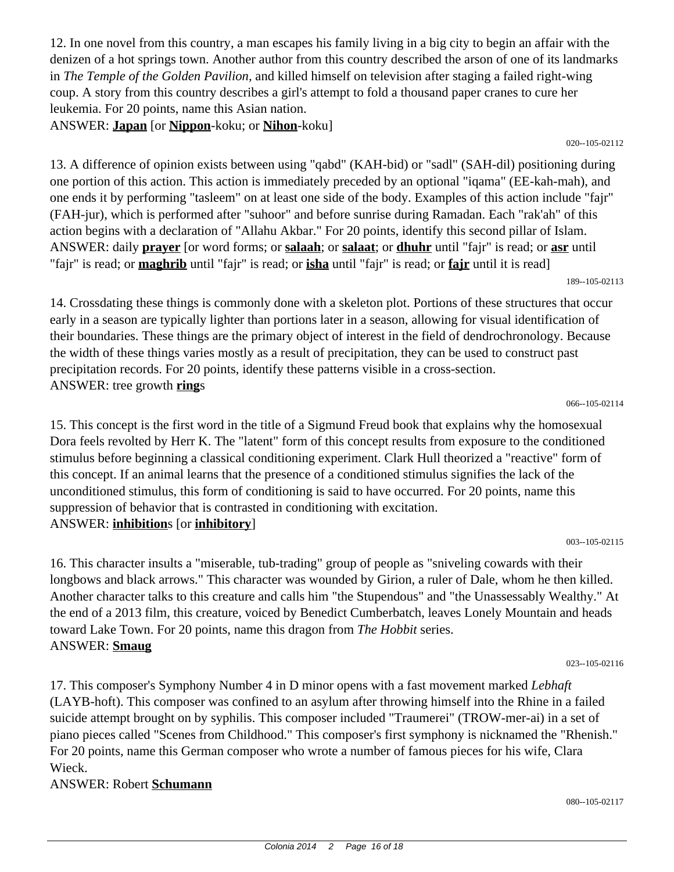12. In one novel from this country, a man escapes his family living in a big city to begin an affair with the denizen of a hot springs town. Another author from this country described the arson of one of its landmarks in *The Temple of the Golden Pavilion,* and killed himself on television after staging a failed right-wing coup. A story from this country describes a girl's attempt to fold a thousand paper cranes to cure her leukemia. For 20 points, name this Asian nation.

ANSWER: **Japan** [or **Nippon**-koku; or **Nihon**-koku]

13. A difference of opinion exists between using "qabd" (KAH-bid) or "sadl" (SAH-dil) positioning during one portion of this action. This action is immediately preceded by an optional "iqama" (EE-kah-mah), and one ends it by performing "tasleem" on at least one side of the body. Examples of this action include "fajr" (FAH-jur), which is performed after "suhoor" and before sunrise during Ramadan. Each "rak'ah" of this action begins with a declaration of "Allahu Akbar." For 20 points, identify this second pillar of Islam. ANSWER: daily **prayer** [or word forms; or **salaah**; or **salaat**; or **dhuhr** until "fajr" is read; or **asr** until "fajr" is read; or **maghrib** until "fajr" is read; or **isha** until "fajr" is read; or **fajr** until it is read]

066--105-02114

14. Crossdating these things is commonly done with a skeleton plot. Portions of these structures that occur early in a season are typically lighter than portions later in a season, allowing for visual identification of their boundaries. These things are the primary object of interest in the field of dendrochronology. Because the width of these things varies mostly as a result of precipitation, they can be used to construct past precipitation records. For 20 points, identify these patterns visible in a cross-section. ANSWER: tree growth **ring**s

15. This concept is the first word in the title of a Sigmund Freud book that explains why the homosexual Dora feels revolted by Herr K. The "latent" form of this concept results from exposure to the conditioned stimulus before beginning a classical conditioning experiment. Clark Hull theorized a "reactive" form of this concept. If an animal learns that the presence of a conditioned stimulus signifies the lack of the unconditioned stimulus, this form of conditioning is said to have occurred. For 20 points, name this suppression of behavior that is contrasted in conditioning with excitation. ANSWER: **inhibition**s [or **inhibitory**]

16. This character insults a "miserable, tub-trading" group of people as "sniveling cowards with their longbows and black arrows." This character was wounded by Girion, a ruler of Dale, whom he then killed. Another character talks to this creature and calls him "the Stupendous" and "the Unassessably Wealthy." At the end of a 2013 film, this creature, voiced by Benedict Cumberbatch, leaves Lonely Mountain and heads toward Lake Town. For 20 points, name this dragon from *The Hobbit* series. ANSWER: **Smaug**

023--105-02116

080--105-02117

17. This composer's Symphony Number 4 in D minor opens with a fast movement marked *Lebhaft* (LAYB-hoft). This composer was confined to an asylum after throwing himself into the Rhine in a failed suicide attempt brought on by syphilis. This composer included "Traumerei" (TROW-mer-ai) in a set of piano pieces called "Scenes from Childhood." This composer's first symphony is nicknamed the "Rhenish." For 20 points, name this German composer who wrote a number of famous pieces for his wife, Clara Wieck.

#### ANSWER: Robert **Schumann**

020--105-02112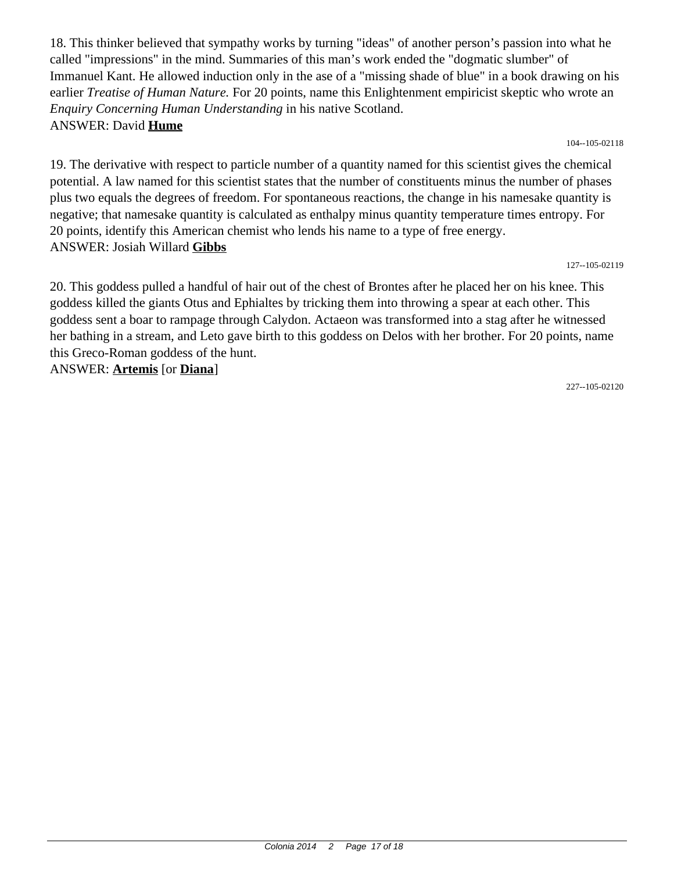18. This thinker believed that sympathy works by turning "ideas" of another person's passion into what he called "impressions" in the mind. Summaries of this man's work ended the "dogmatic slumber" of Immanuel Kant. He allowed induction only in the ase of a "missing shade of blue" in a book drawing on his earlier *Treatise of Human Nature.* For 20 points, name this Enlightenment empiricist skeptic who wrote an *Enquiry Concerning Human Understanding* in his native Scotland. ANSWER: David **Hume**

104--105-02118

19. The derivative with respect to particle number of a quantity named for this scientist gives the chemical potential. A law named for this scientist states that the number of constituents minus the number of phases plus two equals the degrees of freedom. For spontaneous reactions, the change in his namesake quantity is negative; that namesake quantity is calculated as enthalpy minus quantity temperature times entropy. For 20 points, identify this American chemist who lends his name to a type of free energy. ANSWER: Josiah Willard **Gibbs**

127--105-02119

20. This goddess pulled a handful of hair out of the chest of Brontes after he placed her on his knee. This goddess killed the giants Otus and Ephialtes by tricking them into throwing a spear at each other. This goddess sent a boar to rampage through Calydon. Actaeon was transformed into a stag after he witnessed her bathing in a stream, and Leto gave birth to this goddess on Delos with her brother. For 20 points, name this Greco-Roman goddess of the hunt.

ANSWER: **Artemis** [or **Diana**]